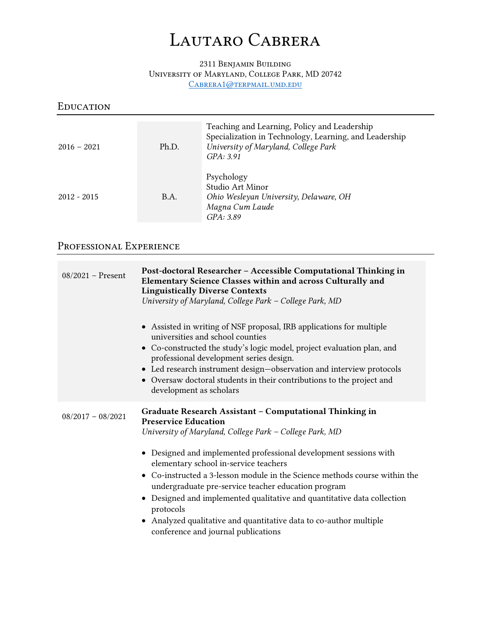# *Lautaro Cabrera*

#### *2311 Benjamin Building University of Maryland, College Park, MD 20742 [Cabrera1@terpmail.umd.edu](mailto:Cabrera1@terpmail.umd.edu)*

#### *Education*

| $2016 - 2021$ | Ph.D.       | Teaching and Learning, Policy and Leadership<br>Specialization in Technology, Learning, and Leadership<br>University of Maryland, College Park<br>GPA: 3.91 |
|---------------|-------------|-------------------------------------------------------------------------------------------------------------------------------------------------------------|
| $2012 - 2015$ | <b>B.A.</b> | Psychology<br>Studio Art Minor<br>Ohio Wesleyan University, Delaware, OH<br>Magna Cum Laude<br>GPA: 3.89                                                    |

# *Professional Experience*

| $08/2021$ – Present | Post-doctoral Researcher - Accessible Computational Thinking in<br>Elementary Science Classes within and across Culturally and<br><b>Linguistically Diverse Contexts</b><br>University of Maryland, College Park - College Park, MD |
|---------------------|-------------------------------------------------------------------------------------------------------------------------------------------------------------------------------------------------------------------------------------|
|                     | • Assisted in writing of NSF proposal, IRB applications for multiple<br>universities and school counties<br>• Co-constructed the study's logic model, project evaluation plan, and                                                  |
|                     | professional development series design.<br>• Led research instrument design-observation and interview protocols<br>Oversaw doctoral students in their contributions to the project and<br>development as scholars                   |
| $08/2017 - 08/2021$ | Graduate Research Assistant - Computational Thinking in<br><b>Preservice Education</b><br>University of Maryland, College Park - College Park, MD                                                                                   |
|                     | • Designed and implemented professional development sessions with<br>elementary school in-service teachers                                                                                                                          |
|                     | • Co-instructed a 3-lesson module in the Science methods course within the<br>undergraduate pre-service teacher education program                                                                                                   |
|                     | Designed and implemented qualitative and quantitative data collection<br>protocols                                                                                                                                                  |
|                     | Analyzed qualitative and quantitative data to co-author multiple<br>conference and journal publications                                                                                                                             |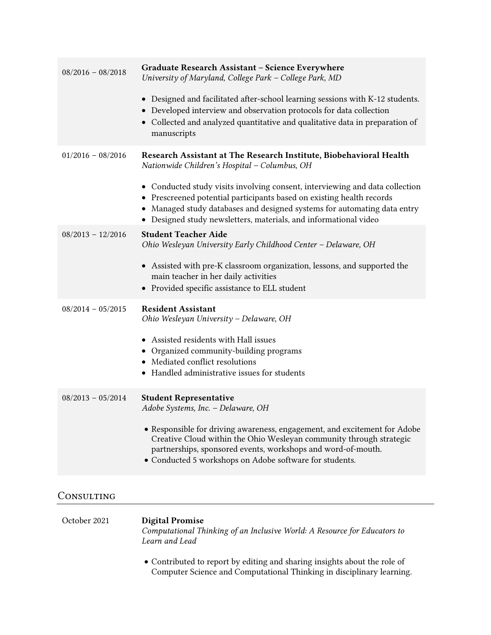| $08/2016 - 08/2018$ | Graduate Research Assistant - Science Everywhere<br>University of Maryland, College Park - College Park, MD<br>• Designed and facilitated after-school learning sessions with K-12 students.<br>• Developed interview and observation protocols for data collection<br>• Collected and analyzed quantitative and qualitative data in preparation of<br>manuscripts                                                           |
|---------------------|------------------------------------------------------------------------------------------------------------------------------------------------------------------------------------------------------------------------------------------------------------------------------------------------------------------------------------------------------------------------------------------------------------------------------|
| $01/2016 - 08/2016$ | Research Assistant at The Research Institute, Biobehavioral Health<br>Nationwide Children's Hospital - Columbus, OH<br>• Conducted study visits involving consent, interviewing and data collection<br>• Prescreened potential participants based on existing health records<br>• Managed study databases and designed systems for automating data entry<br>• Designed study newsletters, materials, and informational video |
| $08/2013 - 12/2016$ | <b>Student Teacher Aide</b><br>Ohio Wesleyan University Early Childhood Center - Delaware, OH<br>• Assisted with pre-K classroom organization, lessons, and supported the<br>main teacher in her daily activities<br>• Provided specific assistance to ELL student                                                                                                                                                           |
| $08/2014 - 05/2015$ | <b>Resident Assistant</b><br>Ohio Wesleyan University - Delaware, OH<br>• Assisted residents with Hall issues<br>• Organized community-building programs<br>• Mediated conflict resolutions<br>• Handled administrative issues for students                                                                                                                                                                                  |
| $08/2013 - 05/2014$ | <b>Student Representative</b><br>Adobe Systems, Inc. - Delaware, OH<br>• Responsible for driving awareness, engagement, and excitement for Adobe<br>Creative Cloud within the Ohio Wesleyan community through strategic<br>partnerships, sponsored events, workshops and word-of-mouth.<br>• Conducted 5 workshops on Adobe software for students.                                                                           |

# *Consulting*

| October 2021 | <b>Digital Promise</b><br>Computational Thinking of an Inclusive World: A Resource for Educators to<br>Learn and Lead |
|--------------|-----------------------------------------------------------------------------------------------------------------------|
|              |                                                                                                                       |

• Contributed to report by editing and sharing insights about the role of Computer Science and Computational Thinking in disciplinary learning.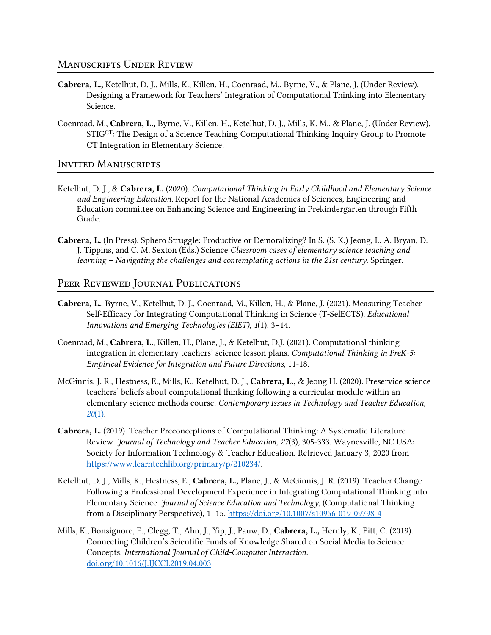#### *Manuscripts Under Review*

- Cabrera, L., Ketelhut, D. J., Mills, K., Killen, H., Coenraad, M., Byrne, V., & Plane, J. (Under Review). Designing a Framework for Teachers' Integration of Computational Thinking into Elementary Science.
- Coenraad, M., Cabrera, L., Byrne, V., Killen, H., Ketelhut, D. J., Mills, K. M., & Plane, J. (Under Review). STIGCT: The Design of a Science Teaching Computational Thinking Inquiry Group to Promote CT Integration in Elementary Science.

#### *Invited Manuscripts*

- Ketelhut, D. J., & Cabrera, L. (2020). *Computational Thinking in Early Childhood and Elementary Science and Engineering Education*. Report for the National Academies of Sciences, Engineering and Education committee on Enhancing Science and Engineering in Prekindergarten through Fifth Grade.
- Cabrera, L. (In Press). Sphero Struggle: Productive or Demoralizing? In S. (S. K.) Jeong, L. A. Bryan, D. J. Tippins, and C. M. Sexton (Eds.) Science *Classroom cases of elementary science teaching and learning – Navigating the challenges and contemplating actions in the 21st century*. Springer.

## *Peer-Reviewed Journal Publications*

- Cabrera, L., Byrne, V., Ketelhut, D. J., Coenraad, M., Killen, H., & Plane, J. (2021). Measuring Teacher Self-Efficacy for Integrating Computational Thinking in Science (T-SelECTS). *Educational Innovations and Emerging Technologies (EIET)*, *1*(1), 3–14.
- Coenraad, M., Cabrera, L., Killen, H., Plane, J., & Ketelhut, D.J. (2021). Computational thinking integration in elementary teachers' science lesson plans. *Computational Thinking in PreK-5: Empirical Evidence for Integration and Future Directions*, 11-18.
- McGinnis, J. R., Hestness, E., Mills, K., Ketelhut, D. J., Cabrera, L., & Jeong H. (2020). Preservice science teachers' beliefs about computational thinking following a curricular module within an elementary science methods course. *Contemporary Issues in Technology and Teacher Education, 20*[\(1\).](https://citejournal.org/volume-20/issue-1-20/science/preservice-science-teachers-beliefs-about-computational-thinking-following-a-curricular-module-within-an-elementary-science-methods-course)
- Cabrera, L. (2019). Teacher Preconceptions of Computational Thinking: A Systematic Literature Review. *Journal of Technology and Teacher Education, 27*(3), 305-333. Waynesville, NC USA: Society for Information Technology & Teacher Education. Retrieved January 3, 2020 from [https://www.learntechlib.org/primary/p/210234/.](https://www.learntechlib.org/primary/p/210234/)
- Ketelhut, D. J., Mills, K., Hestness, E., Cabrera, L., Plane, J., & McGinnis, J. R. (2019). Teacher Change Following a Professional Development Experience in Integrating Computational Thinking into Elementary Science. *Journal of Science Education and Technology*, (Computational Thinking from a Disciplinary Perspective), 1–15.<https://doi.org/10.1007/s10956-019-09798-4>
- Mills, K., Bonsignore, E., Clegg, T., Ahn, J., Yip, J., Pauw, D., Cabrera, L., Hernly, K., Pitt, C. (2019). Connecting Children's Scientific Funds of Knowledge Shared on Social Media to Science Concepts. *International Journal of Child-Computer Interaction*. [doi.org/10.1016/J.IJCCI.2019.04.003](https://doi.org/10.1016/J.IJCCI.2019.04.003)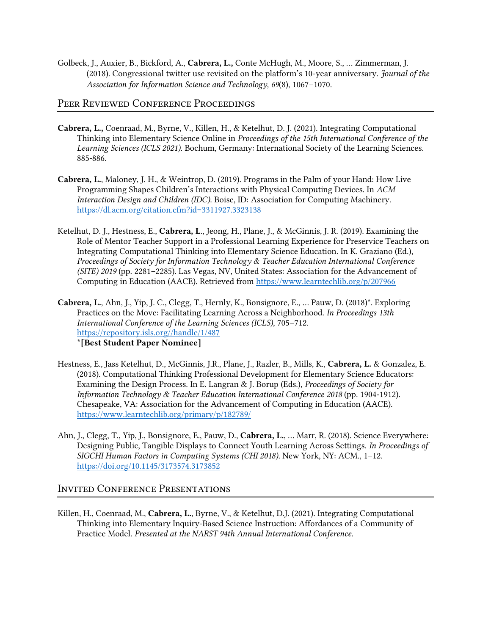Golbeck, J., Auxier, B., Bickford, A., Cabrera, L., Conte McHugh, M., Moore, S., … Zimmerman, J. (2018). Congressional twitter use revisited on the platform's 10-year anniversary. *Journal of the Association for Information Science and Technology, 69*(8), 1067–1070.

#### *Peer Reviewed Conference Proceedings*

- Cabrera, L., Coenraad, M., Byrne, V., Killen, H., & Ketelhut, D. J. (2021). Integrating Computational Thinking into Elementary Science Online in *Proceedings of the 15th International Conference of the Learning Sciences (ICLS 2021)*. Bochum, Germany: International Society of the Learning Sciences. 885-886.
- Cabrera, L., Maloney, J. H., & Weintrop, D. (2019). Programs in the Palm of your Hand: How Live Programming Shapes Children's Interactions with Physical Computing Devices. In *ACM Interaction Design and Children (IDC)*. Boise, ID: Association for Computing Machinery. <https://dl.acm.org/citation.cfm?id=3311927.3323138>
- Ketelhut, D. J., Hestness, E., Cabrera, L., Jeong, H., Plane, J., & McGinnis, J. R. (2019). Examining the Role of Mentor Teacher Support in a Professional Learning Experience for Preservice Teachers on Integrating Computational Thinking into Elementary Science Education. In K. Graziano (Ed.), *Proceedings of Society for Information Technology & Teacher Education International Conference (SITE) 2019* (pp. 2281–2285). Las Vegas, NV, United States: Association for the Advancement of Computing in Education (AACE). Retrieved from<https://www.learntechlib.org/p/207966>
- Cabrera, L., Ahn, J., Yip, J. C., Clegg, T., Hernly, K., Bonsignore, E., … Pauw, D. (2018)\*. Exploring Practices on the Move: Facilitating Learning Across a Neighborhood. *In Proceedings 13th International Conference of the Learning Sciences (ICLS)*, 705–712. [https://repository.isls.org//handle/1/487](https://repository.isls.org/handle/1/487) \*[Best Student Paper Nominee]
- Hestness, E., Jass Ketelhut, D., McGinnis, J.R., Plane, J., Razler, B., Mills, K., Cabrera, L. & Gonzalez, E. (2018). Computational Thinking Professional Development for Elementary Science Educators: Examining the Design Process. In E. Langran & J. Borup (Eds.), *Proceedings of Society for Information Technology & Teacher Education International Conference 2018* (pp. 1904-1912). Chesapeake, VA: Association for the Advancement of Computing in Education (AACE). <https://www.learntechlib.org/primary/p/182789/>
- Ahn, J., Clegg, T., Yip, J., Bonsignore, E., Pauw, D., Cabrera, L., … Marr, R. (2018). Science Everywhere: Designing Public, Tangible Displays to Connect Youth Learning Across Settings. *In Proceedings of SIGCHI Human Factors in Computing Systems (CHI 2018)*. New York, NY: ACM., 1–12. <https://doi.org/10.1145/3173574.3173852>

#### *Invited Conference Presentations*

Killen, H., Coenraad, M., Cabrera, L., Byrne, V., & Ketelhut, D.J. (2021). Integrating Computational Thinking into Elementary Inquiry-Based Science Instruction: Affordances of a Community of Practice Model. *Presented at the NARST 94th Annual International Conference*.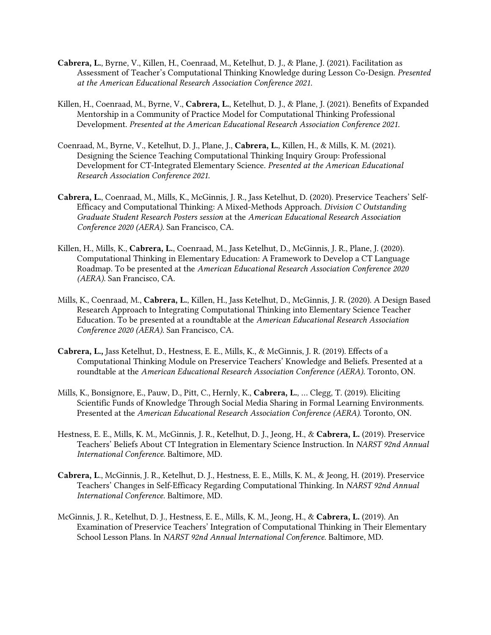- Cabrera, L., Byrne, V., Killen, H., Coenraad, M., Ketelhut, D. J., & Plane, J. (2021). Facilitation as Assessment of Teacher's Computational Thinking Knowledge during Lesson Co-Design. *Presented at the American Educational Research Association Conference 2021*.
- Killen, H., Coenraad, M., Byrne, V., Cabrera, L., Ketelhut, D. J., & Plane, J. (2021). Benefits of Expanded Mentorship in a Community of Practice Model for Computational Thinking Professional Development. *Presented at the American Educational Research Association Conference 2021*.
- Coenraad, M., Byrne, V., Ketelhut, D. J., Plane, J., Cabrera, L., Killen, H., & Mills, K. M. (2021). Designing the Science Teaching Computational Thinking Inquiry Group: Professional Development for CT-Integrated Elementary Science. *Presented at the American Educational Research Association Conference 2021*.
- Cabrera, L., Coenraad, M., Mills, K., McGinnis, J. R., Jass Ketelhut, D. (2020). Preservice Teachers' Self-Efficacy and Computational Thinking: A Mixed-Methods Approach. *Division C Outstanding Graduate Student Research Posters session* at the *American Educational Research Association Conference 2020 (AERA).* San Francisco, CA.
- Killen, H., Mills, K., Cabrera, L., Coenraad, M., Jass Ketelhut, D., McGinnis, J. R., Plane, J. (2020). Computational Thinking in Elementary Education: A Framework to Develop a CT Language Roadmap. To be presented at the *American Educational Research Association Conference 2020 (AERA).* San Francisco, CA.
- Mills, K., Coenraad, M., Cabrera, L., Killen, H., Jass Ketelhut, D., McGinnis, J. R. (2020). A Design Based Research Approach to Integrating Computational Thinking into Elementary Science Teacher Education. To be presented at a roundtable at the *American Educational Research Association Conference 2020 (AERA).* San Francisco, CA.
- Cabrera, L., Jass Ketelhut, D., Hestness, E. E., Mills, K., & McGinnis, J. R. (2019). Effects of a Computational Thinking Module on Preservice Teachers' Knowledge and Beliefs. Presented at a roundtable at the *American Educational Research Association Conference (AERA)*. Toronto, ON.
- Mills, K., Bonsignore, E., Pauw, D., Pitt, C., Hernly, K., Cabrera, L., … Clegg, T. (2019). Eliciting Scientific Funds of Knowledge Through Social Media Sharing in Formal Learning Environments. Presented at the *American Educational Research Association Conference (AERA)*. Toronto, ON.
- Hestness, E. E., Mills, K. M., McGinnis, J. R., Ketelhut, D. J., Jeong, H., & Cabrera, L. (2019). Preservice Teachers' Beliefs About CT Integration in Elementary Science Instruction. In *NARST 92nd Annual International Conference*. Baltimore, MD.
- Cabrera, L., McGinnis, J. R., Ketelhut, D. J., Hestness, E. E., Mills, K. M., & Jeong, H. (2019). Preservice Teachers' Changes in Self-Efficacy Regarding Computational Thinking. In *NARST 92nd Annual International Conference*. Baltimore, MD.
- McGinnis, J. R., Ketelhut, D. J., Hestness, E. E., Mills, K. M., Jeong, H., & Cabrera, L. (2019). An Examination of Preservice Teachers' Integration of Computational Thinking in Their Elementary School Lesson Plans. In *NARST 92nd Annual International Conference*. Baltimore, MD.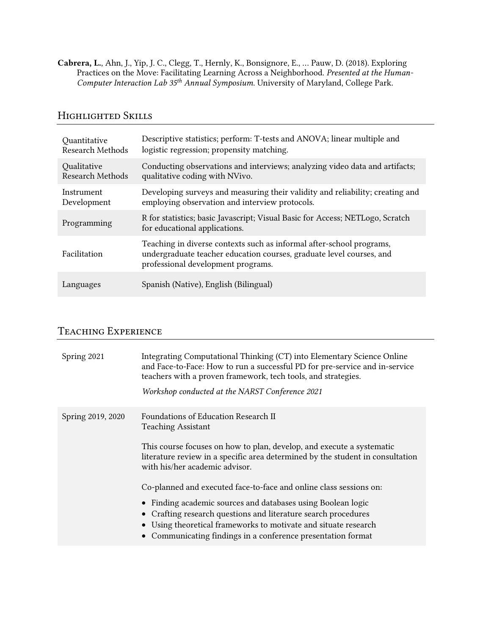Cabrera, L., Ahn, J., Yip, J. C., Clegg, T., Hernly, K., Bonsignore, E., … Pauw, D. (2018). Exploring Practices on the Move: Facilitating Learning Across a Neighborhood. *Presented at the Human-Computer Interaction Lab 35th Annual Symposium*. University of Maryland, College Park.

## *Highlighted Skills*

| Quantitative            | Descriptive statistics; perform: T-tests and ANOVA; linear multiple and                                                                                                            |
|-------------------------|------------------------------------------------------------------------------------------------------------------------------------------------------------------------------------|
| <b>Research Methods</b> | logistic regression; propensity matching.                                                                                                                                          |
| Qualitative             | Conducting observations and interviews; analyzing video data and artifacts;                                                                                                        |
| Research Methods        | qualitative coding with NVivo.                                                                                                                                                     |
| Instrument              | Developing surveys and measuring their validity and reliability; creating and                                                                                                      |
| Development             | employing observation and interview protocols.                                                                                                                                     |
| Programming             | R for statistics; basic Javascript; Visual Basic for Access; NETLogo, Scratch<br>for educational applications.                                                                     |
| Facilitation            | Teaching in diverse contexts such as informal after-school programs,<br>undergraduate teacher education courses, graduate level courses, and<br>professional development programs. |
| Languages               | Spanish (Native), English (Bilingual)                                                                                                                                              |

# *Teaching Experience*

| Spring 2021       | Integrating Computational Thinking (CT) into Elementary Science Online<br>and Face-to-Face: How to run a successful PD for pre-service and in-service<br>teachers with a proven framework, tech tools, and strategies.<br>Workshop conducted at the NARST Conference 2021                                                                                                                                                                                            |
|-------------------|----------------------------------------------------------------------------------------------------------------------------------------------------------------------------------------------------------------------------------------------------------------------------------------------------------------------------------------------------------------------------------------------------------------------------------------------------------------------|
| Spring 2019, 2020 | Foundations of Education Research II<br><b>Teaching Assistant</b><br>This course focuses on how to plan, develop, and execute a systematic<br>literature review in a specific area determined by the student in consultation<br>with his/her academic advisor.<br>Co-planned and executed face-to-face and online class sessions on:<br>• Finding academic sources and databases using Boolean logic<br>Crafting research questions and literature search procedures |
|                   | Using theoretical frameworks to motivate and situate research<br>Communicating findings in a conference presentation format                                                                                                                                                                                                                                                                                                                                          |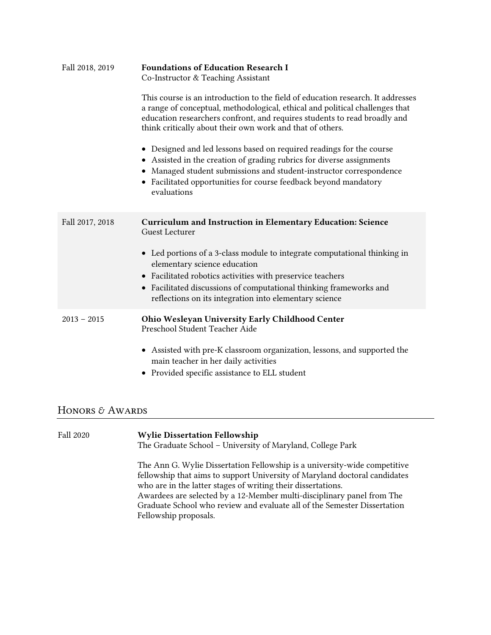| Fall 2018, 2019 | <b>Foundations of Education Research I</b><br>Co-Instructor & Teaching Assistant                                                                                                                                                                                                                          |
|-----------------|-----------------------------------------------------------------------------------------------------------------------------------------------------------------------------------------------------------------------------------------------------------------------------------------------------------|
|                 | This course is an introduction to the field of education research. It addresses<br>a range of conceptual, methodological, ethical and political challenges that<br>education researchers confront, and requires students to read broadly and<br>think critically about their own work and that of others. |
|                 | Designed and led lessons based on required readings for the course<br>• Assisted in the creation of grading rubrics for diverse assignments<br>Managed student submissions and student-instructor correspondence<br>• Facilitated opportunities for course feedback beyond mandatory<br>evaluations       |
| Fall 2017, 2018 | <b>Curriculum and Instruction in Elementary Education: Science</b><br><b>Guest Lecturer</b>                                                                                                                                                                                                               |
|                 | • Led portions of a 3-class module to integrate computational thinking in<br>elementary science education                                                                                                                                                                                                 |
|                 | • Facilitated robotics activities with preservice teachers<br>Facilitated discussions of computational thinking frameworks and<br>$\bullet$<br>reflections on its integration into elementary science                                                                                                     |
| $2013 - 2015$   | Ohio Wesleyan University Early Childhood Center<br>Preschool Student Teacher Aide                                                                                                                                                                                                                         |
|                 | • Assisted with pre-K classroom organization, lessons, and supported the<br>main teacher in her daily activities<br>• Provided specific assistance to ELL student                                                                                                                                         |

# *Honors & Awards*

| <b>Fall 2020</b> | <b>Wylie Dissertation Fellowship</b><br>The Graduate School - University of Maryland, College Park                                                                                                                                                                                                                                                                                                     |
|------------------|--------------------------------------------------------------------------------------------------------------------------------------------------------------------------------------------------------------------------------------------------------------------------------------------------------------------------------------------------------------------------------------------------------|
|                  | The Ann G. Wylie Dissertation Fellowship is a university-wide competitive<br>fellowship that aims to support University of Maryland doctoral candidates<br>who are in the latter stages of writing their dissertations.<br>Awardees are selected by a 12-Member multi-disciplinary panel from The<br>Graduate School who review and evaluate all of the Semester Dissertation<br>Fellowship proposals. |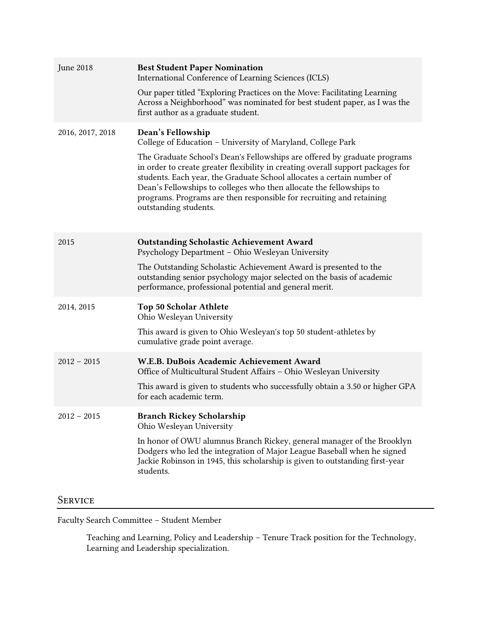| June 2018        | <b>Best Student Paper Nomination</b><br>International Conference of Learning Sciences (ICLS)<br>Our paper titled "Exploring Practices on the Move: Facilitating Learning<br>Across a Neighborhood" was nominated for best student paper, as I was the<br>first author as a graduate student.                                                                                                                                                                                                       |
|------------------|----------------------------------------------------------------------------------------------------------------------------------------------------------------------------------------------------------------------------------------------------------------------------------------------------------------------------------------------------------------------------------------------------------------------------------------------------------------------------------------------------|
| 2016, 2017, 2018 | Dean's Fellowship<br>College of Education - University of Maryland, College Park<br>The Graduate School's Dean's Fellowships are offered by graduate programs<br>in order to create greater flexibility in creating overall support packages for<br>students. Each year, the Graduate School allocates a certain number of<br>Dean's Fellowships to colleges who then allocate the fellowships to<br>programs. Programs are then responsible for recruiting and retaining<br>outstanding students. |
| 2015             | <b>Outstanding Scholastic Achievement Award</b><br>Psychology Department - Ohio Wesleyan University<br>The Outstanding Scholastic Achievement Award is presented to the<br>outstanding senior psychology major selected on the basis of academic<br>performance, professional potential and general merit.                                                                                                                                                                                         |
| 2014, 2015       | <b>Top 50 Scholar Athlete</b><br>Ohio Wesleyan University<br>This award is given to Ohio Wesleyan's top 50 student-athletes by<br>cumulative grade point average.                                                                                                                                                                                                                                                                                                                                  |
| $2012 - 2015$    | W.E.B. DuBois Academic Achievement Award<br>Office of Multicultural Student Affairs - Ohio Wesleyan University<br>This award is given to students who successfully obtain a 3.50 or higher GPA<br>for each academic term.                                                                                                                                                                                                                                                                          |
| $2012 - 2015$    | <b>Branch Rickey Scholarship</b><br>Ohio Wesleyan University<br>In honor of OWU alumnus Branch Rickey, general manager of the Brooklyn<br>Dodgers who led the integration of Major League Baseball when he signed<br>Jackie Robinson in 1945, this scholarship is given to outstanding first-year<br>students.                                                                                                                                                                                     |

# *Service*

Faculty Search Committee – Student Member

Teaching and Learning, Policy and Leadership – Tenure Track position for the Technology, Learning and Leadership specialization.